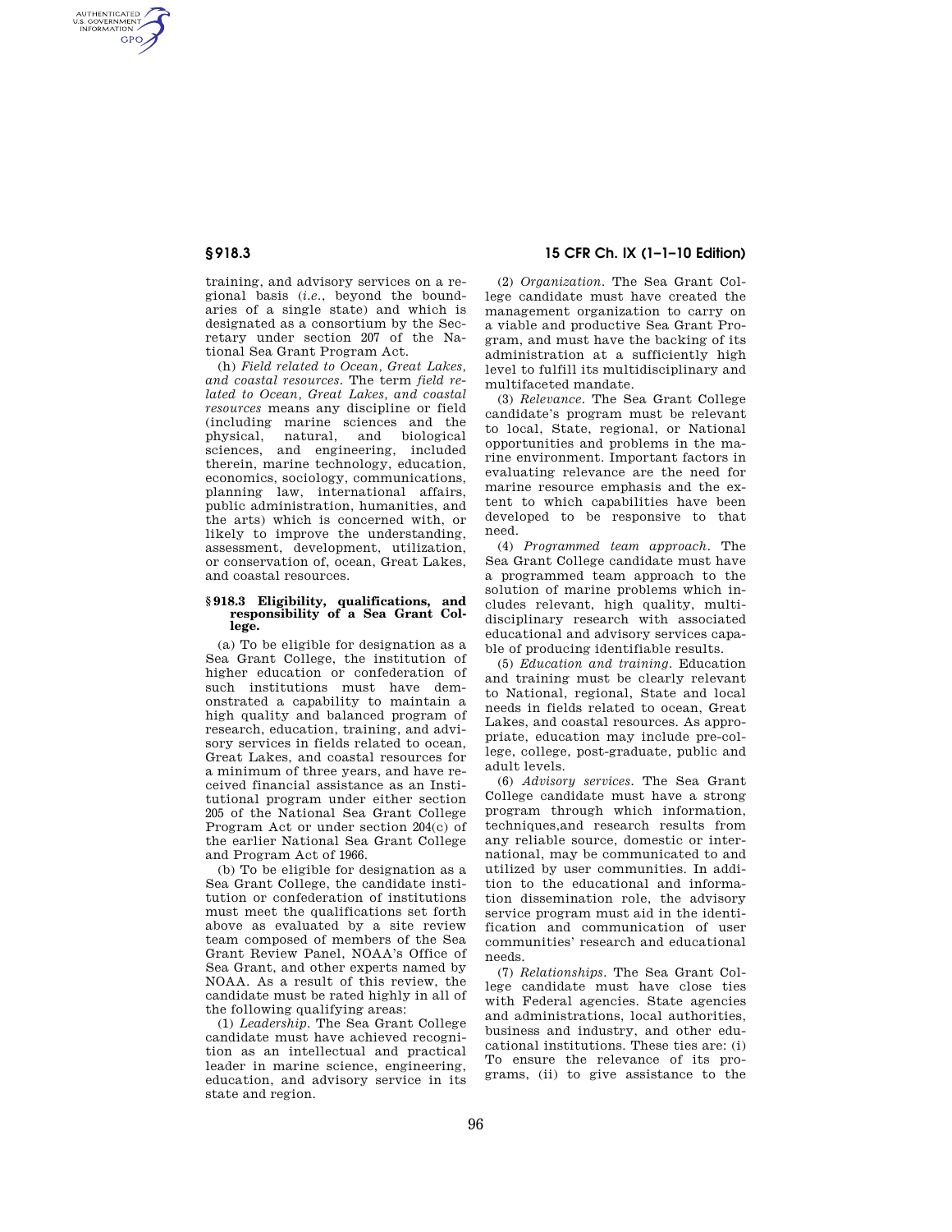AUTHENTICATED<br>U.S. GOVERNMENT<br>INFORMATION GPO

> training, and advisory services on a regional basis (*i.e.*, beyond the boundaries of a single state) and which is designated as a consortium by the Secretary under section 207 of the National Sea Grant Program Act.

> (h) *Field related to Ocean, Great Lakes, and coastal resources.* The term *field related to Ocean, Great Lakes, and coastal resources* means any discipline or field (including marine sciences and the physical, natural, and biological sciences, and engineering, included therein, marine technology, education, economics, sociology, communications, planning law, international affairs, public administration, humanities, and the arts) which is concerned with, or likely to improve the understanding, assessment, development, utilization, or conservation of, ocean, Great Lakes, and coastal resources.

## **§ 918.3 Eligibility, qualifications, and responsibility of a Sea Grant College.**

(a) To be eligible for designation as a Sea Grant College, the institution of higher education or confederation of such institutions must have demonstrated a capability to maintain a high quality and balanced program of research, education, training, and advisory services in fields related to ocean, Great Lakes, and coastal resources for a minimum of three years, and have received financial assistance as an Institutional program under either section 205 of the National Sea Grant College Program Act or under section 204(c) of the earlier National Sea Grant College and Program Act of 1966.

(b) To be eligible for designation as a Sea Grant College, the candidate institution or confederation of institutions must meet the qualifications set forth above as evaluated by a site review team composed of members of the Sea Grant Review Panel, NOAA's Office of Sea Grant, and other experts named by NOAA. As a result of this review, the candidate must be rated highly in all of the following qualifying areas:

(1) *Leadership.* The Sea Grant College candidate must have achieved recognition as an intellectual and practical leader in marine science, engineering, education, and advisory service in its state and region.

**§ 918.3 15 CFR Ch. IX (1–1–10 Edition)** 

(2) *Organization.* The Sea Grant College candidate must have created the management organization to carry on a viable and productive Sea Grant Program, and must have the backing of its administration at a sufficiently high level to fulfill its multidisciplinary and multifaceted mandate.

(3) *Relevance.* The Sea Grant College candidate's program must be relevant to local, State, regional, or National opportunities and problems in the marine environment. Important factors in evaluating relevance are the need for marine resource emphasis and the extent to which capabilities have been developed to be responsive to that need.

(4) *Programmed team approach.* The Sea Grant College candidate must have a programmed team approach to the solution of marine problems which includes relevant, high quality, multidisciplinary research with associated educational and advisory services capable of producing identifiable results.

(5) *Education and training.* Education and training must be clearly relevant to National, regional, State and local needs in fields related to ocean, Great Lakes, and coastal resources. As appropriate, education may include pre-college, college, post-graduate, public and adult levels.

(6) *Advisory services.* The Sea Grant College candidate must have a strong program through which information, techniques,and research results from any reliable source, domestic or international, may be communicated to and utilized by user communities. In addition to the educational and information dissemination role, the advisory service program must aid in the identification and communication of user communities' research and educational needs.

(7) *Relationships.* The Sea Grant College candidate must have close ties with Federal agencies. State agencies and administrations, local authorities, business and industry, and other educational institutions. These ties are: (i) To ensure the relevance of its programs, (ii) to give assistance to the